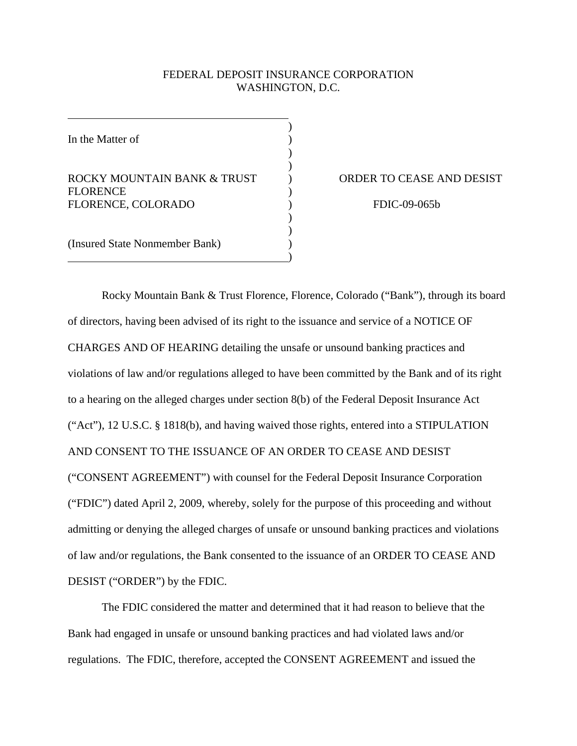# FEDERAL DEPOSIT INSURANCE CORPORATION WASHINGTON, D.C.

)

) )

> ) )

In the Matter of

ROCKY MOUNTAIN BANK & TRUST **FLORENCE** FLORENCE, COLORADO  $\overline{\phantom{a}}$ 

 $\overline{\phantom{a}}$ 

 $)$  $)$ 

(Insured State Nonmember Bank)  $)$ 

) ORDER TO CEASE AND DESIST

FDIC-09-065b

Rocky Mountain Bank & Trust Florence, Florence, Colorado ("Bank"), through its board of directors, having been advised of its right to the issuance and service of a NOTICE OF CHARGES AND OF HEARING detailing the unsafe or unsound banking practices and violations of law and/or regulations alleged to have been committed by the Bank and of its right to a hearing on the alleged charges under section 8(b) of the Federal Deposit Insurance Act ("Act"), 12 U.S.C. § 1818(b), and having waived those rights, entered into a STIPULATION AND CONSENT TO THE ISSUANCE OF AN ORDER TO CEASE AND DESIST ("CONSENT AGREEMENT") with counsel for the Federal Deposit Insurance Corporation ("FDIC") dated April 2, 2009, whereby, solely for the purpose of this proceeding and without admitting or denying the alleged charges of unsafe or unsound banking practices and violations of law and/or regulations, the Bank consented to the issuance of an ORDER TO CEASE AND DESIST ("ORDER") by the FDIC.

 The FDIC considered the matter and determined that it had reason to believe that the Bank had engaged in unsafe or unsound banking practices and had violated laws and/or regulations. The FDIC, therefore, accepted the CONSENT AGREEMENT and issued the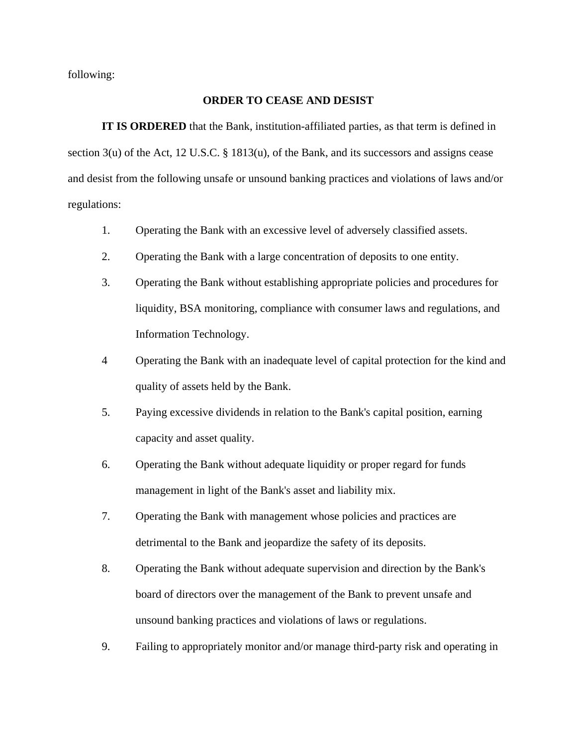following:

# **ORDER TO CEASE AND DESIST**

**IT IS ORDERED** that the Bank, institution-affiliated parties, as that term is defined in section 3(u) of the Act, 12 U.S.C. § 1813(u), of the Bank, and its successors and assigns cease and desist from the following unsafe or unsound banking practices and violations of laws and/or regulations:

- 1. Operating the Bank with an excessive level of adversely classified assets.
- 2. Operating the Bank with a large concentration of deposits to one entity.
- 3. Operating the Bank without establishing appropriate policies and procedures for liquidity, BSA monitoring, compliance with consumer laws and regulations, and Information Technology.
- 4 Operating the Bank with an inadequate level of capital protection for the kind and quality of assets held by the Bank.
- 5. Paying excessive dividends in relation to the Bank's capital position, earning capacity and asset quality.
- 6. Operating the Bank without adequate liquidity or proper regard for funds management in light of the Bank's asset and liability mix.
- 7. Operating the Bank with management whose policies and practices are detrimental to the Bank and jeopardize the safety of its deposits.
- 8. Operating the Bank without adequate supervision and direction by the Bank's board of directors over the management of the Bank to prevent unsafe and unsound banking practices and violations of laws or regulations.
- 9. Failing to appropriately monitor and/or manage third-party risk and operating in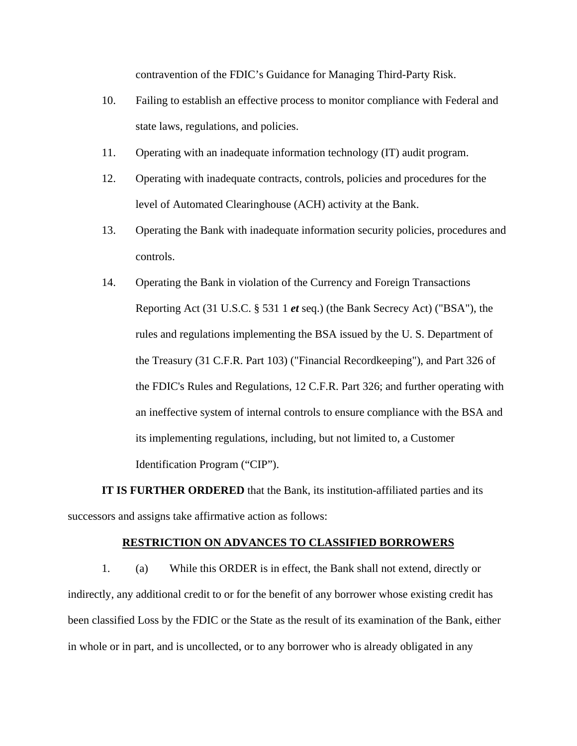contravention of the FDIC's Guidance for Managing Third-Party Risk.

- 10. Failing to establish an effective process to monitor compliance with Federal and state laws, regulations, and policies.
- 11. Operating with an inadequate information technology (IT) audit program.
- 12. Operating with inadequate contracts, controls, policies and procedures for the level of Automated Clearinghouse (ACH) activity at the Bank.
- 13. Operating the Bank with inadequate information security policies, procedures and controls.
- 14. Operating the Bank in violation of the Currency and Foreign Transactions Reporting Act (31 U.S.C. § 531 1 *et* seq.) (the Bank Secrecy Act) ("BSA"), the rules and regulations implementing the BSA issued by the U. S. Department of the Treasury (31 C.F.R. Part 103) ("Financial Recordkeeping"), and Part 326 of the FDIC's Rules and Regulations, 12 C.F.R. Part 326; and further operating with an ineffective system of internal controls to ensure compliance with the BSA and its implementing regulations, including, but not limited to, a Customer Identification Program ("CIP").

**IT IS FURTHER ORDERED** that the Bank, its institution-affiliated parties and its successors and assigns take affirmative action as follows:

#### **RESTRICTION ON ADVANCES TO CLASSIFIED BORROWERS**

 1. (a) While this ORDER is in effect, the Bank shall not extend, directly or indirectly, any additional credit to or for the benefit of any borrower whose existing credit has been classified Loss by the FDIC or the State as the result of its examination of the Bank, either in whole or in part, and is uncollected, or to any borrower who is already obligated in any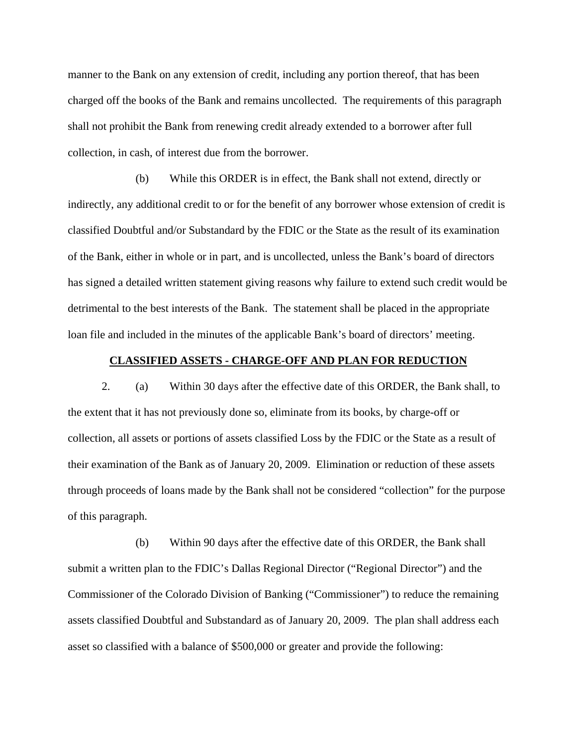manner to the Bank on any extension of credit, including any portion thereof, that has been charged off the books of the Bank and remains uncollected. The requirements of this paragraph shall not prohibit the Bank from renewing credit already extended to a borrower after full collection, in cash, of interest due from the borrower.

(b) While this ORDER is in effect, the Bank shall not extend, directly or indirectly, any additional credit to or for the benefit of any borrower whose extension of credit is classified Doubtful and/or Substandard by the FDIC or the State as the result of its examination of the Bank, either in whole or in part, and is uncollected, unless the Bank's board of directors has signed a detailed written statement giving reasons why failure to extend such credit would be detrimental to the best interests of the Bank. The statement shall be placed in the appropriate loan file and included in the minutes of the applicable Bank's board of directors' meeting.

# **CLASSIFIED ASSETS - CHARGE-OFF AND PLAN FOR REDUCTION**

 2. (a) Within 30 days after the effective date of this ORDER, the Bank shall, to the extent that it has not previously done so, eliminate from its books, by charge-off or collection, all assets or portions of assets classified Loss by the FDIC or the State as a result of their examination of the Bank as of January 20, 2009. Elimination or reduction of these assets through proceeds of loans made by the Bank shall not be considered "collection" for the purpose of this paragraph.

(b) Within 90 days after the effective date of this ORDER, the Bank shall submit a written plan to the FDIC's Dallas Regional Director ("Regional Director") and the Commissioner of the Colorado Division of Banking ("Commissioner") to reduce the remaining assets classified Doubtful and Substandard as of January 20, 2009. The plan shall address each asset so classified with a balance of \$500,000 or greater and provide the following: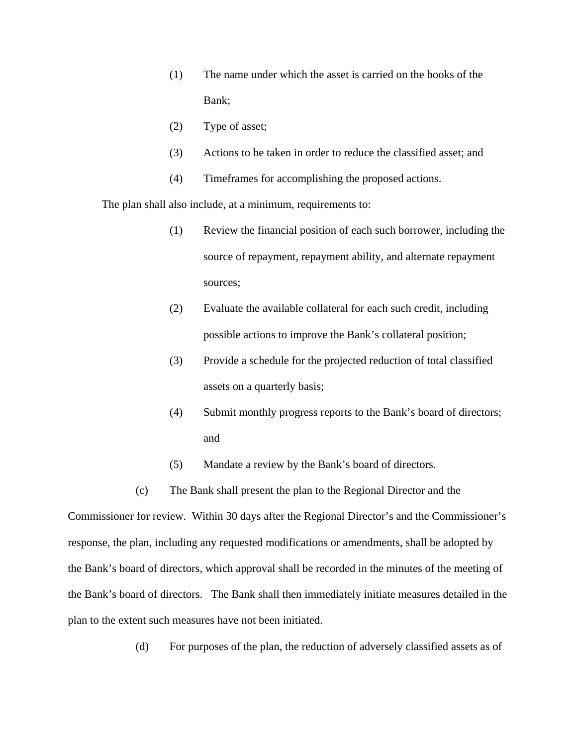- (1) The name under which the asset is carried on the books of the Bank;
- (2) Type of asset;
- (3) Actions to be taken in order to reduce the classified asset; and
- (4) Timeframes for accomplishing the proposed actions.

The plan shall also include, at a minimum, requirements to:

- (1) Review the financial position of each such borrower, including the source of repayment, repayment ability, and alternate repayment sources;
- (2) Evaluate the available collateral for each such credit, including possible actions to improve the Bank's collateral position;
- (3) Provide a schedule for the projected reduction of total classified assets on a quarterly basis;
- (4) Submit monthly progress reports to the Bank's board of directors; and
- (5) Mandate a review by the Bank's board of directors.
- (c) The Bank shall present the plan to the Regional Director and the

Commissioner for review. Within 30 days after the Regional Director's and the Commissioner's response, the plan, including any requested modifications or amendments, shall be adopted by the Bank's board of directors, which approval shall be recorded in the minutes of the meeting of the Bank's board of directors. The Bank shall then immediately initiate measures detailed in the plan to the extent such measures have not been initiated.

(d) For purposes of the plan, the reduction of adversely classified assets as of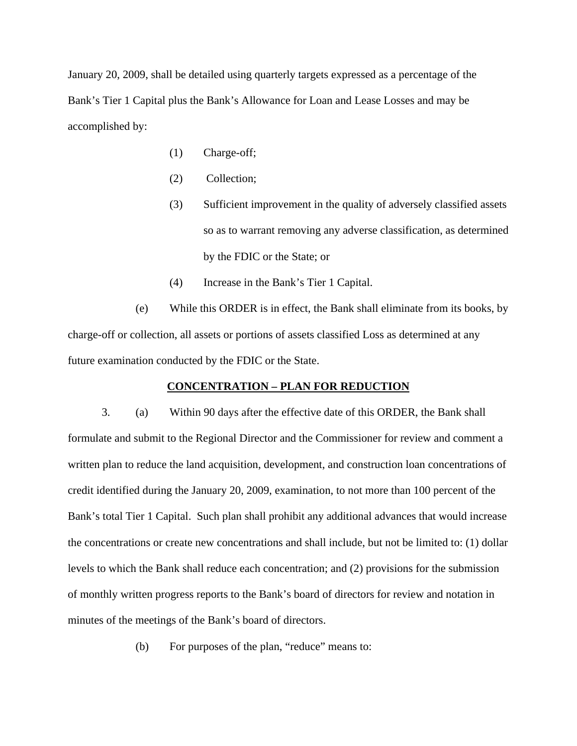January 20, 2009, shall be detailed using quarterly targets expressed as a percentage of the Bank's Tier 1 Capital plus the Bank's Allowance for Loan and Lease Losses and may be accomplished by:

- (1) Charge-off;
- (2) Collection;
- (3) Sufficient improvement in the quality of adversely classified assets so as to warrant removing any adverse classification, as determined by the FDIC or the State; or
- (4) Increase in the Bank's Tier 1 Capital.

(e) While this ORDER is in effect, the Bank shall eliminate from its books, by charge-off or collection, all assets or portions of assets classified Loss as determined at any future examination conducted by the FDIC or the State.

### **CONCENTRATION – PLAN FOR REDUCTION**

3. (a) Within 90 days after the effective date of this ORDER, the Bank shall formulate and submit to the Regional Director and the Commissioner for review and comment a written plan to reduce the land acquisition, development, and construction loan concentrations of credit identified during the January 20, 2009, examination, to not more than 100 percent of the Bank's total Tier 1 Capital. Such plan shall prohibit any additional advances that would increase the concentrations or create new concentrations and shall include, but not be limited to: (1) dollar levels to which the Bank shall reduce each concentration; and (2) provisions for the submission of monthly written progress reports to the Bank's board of directors for review and notation in minutes of the meetings of the Bank's board of directors.

(b) For purposes of the plan, "reduce" means to: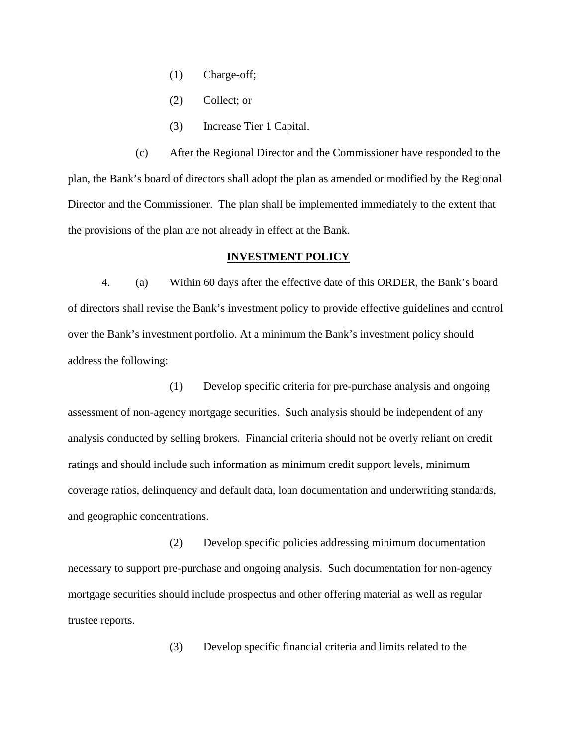- (1) Charge-off;
- (2) Collect; or
- (3) Increase Tier 1 Capital.

(c) After the Regional Director and the Commissioner have responded to the plan, the Bank's board of directors shall adopt the plan as amended or modified by the Regional Director and the Commissioner. The plan shall be implemented immediately to the extent that the provisions of the plan are not already in effect at the Bank.

### **INVESTMENT POLICY**

4. (a) Within 60 days after the effective date of this ORDER, the Bank's board of directors shall revise the Bank's investment policy to provide effective guidelines and control over the Bank's investment portfolio. At a minimum the Bank's investment policy should address the following:

 (1) Develop specific criteria for pre-purchase analysis and ongoing assessment of non-agency mortgage securities. Such analysis should be independent of any analysis conducted by selling brokers. Financial criteria should not be overly reliant on credit ratings and should include such information as minimum credit support levels, minimum coverage ratios, delinquency and default data, loan documentation and underwriting standards, and geographic concentrations.

 (2) Develop specific policies addressing minimum documentation necessary to support pre-purchase and ongoing analysis. Such documentation for non-agency mortgage securities should include prospectus and other offering material as well as regular trustee reports.

(3) Develop specific financial criteria and limits related to the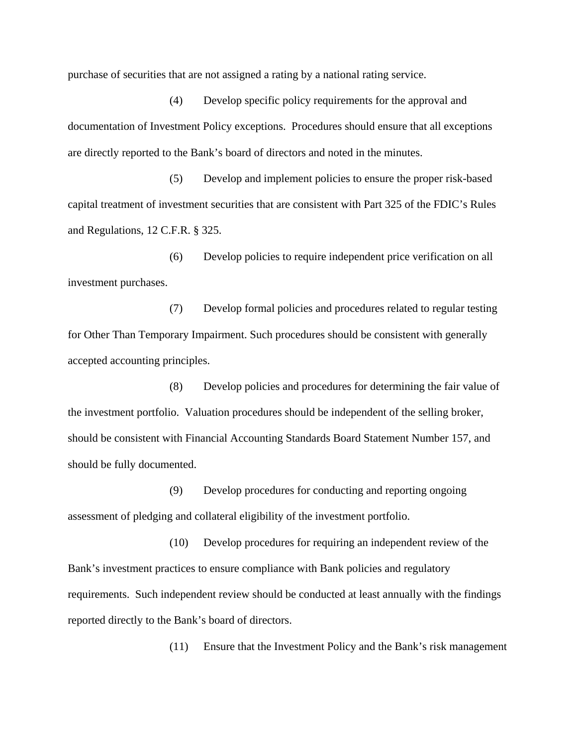purchase of securities that are not assigned a rating by a national rating service.

 (4) Develop specific policy requirements for the approval and documentation of Investment Policy exceptions. Procedures should ensure that all exceptions are directly reported to the Bank's board of directors and noted in the minutes.

 (5) Develop and implement policies to ensure the proper risk-based capital treatment of investment securities that are consistent with Part 325 of the FDIC's Rules and Regulations, 12 C.F.R. § 325.

 (6) Develop policies to require independent price verification on all investment purchases.

 (7) Develop formal policies and procedures related to regular testing for Other Than Temporary Impairment. Such procedures should be consistent with generally accepted accounting principles.

 (8) Develop policies and procedures for determining the fair value of the investment portfolio. Valuation procedures should be independent of the selling broker, should be consistent with Financial Accounting Standards Board Statement Number 157, and should be fully documented.

 (9) Develop procedures for conducting and reporting ongoing assessment of pledging and collateral eligibility of the investment portfolio.

 (10) Develop procedures for requiring an independent review of the Bank's investment practices to ensure compliance with Bank policies and regulatory requirements. Such independent review should be conducted at least annually with the findings reported directly to the Bank's board of directors.

(11) Ensure that the Investment Policy and the Bank's risk management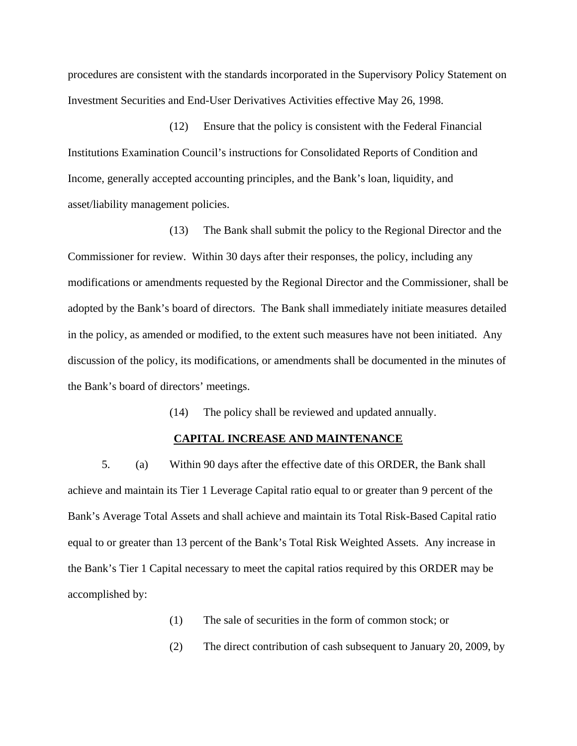procedures are consistent with the standards incorporated in the Supervisory Policy Statement on Investment Securities and End-User Derivatives Activities effective May 26, 1998.

 (12) Ensure that the policy is consistent with the Federal Financial Institutions Examination Council's instructions for Consolidated Reports of Condition and Income, generally accepted accounting principles, and the Bank's loan, liquidity, and asset/liability management policies.

 (13) The Bank shall submit the policy to the Regional Director and the Commissioner for review. Within 30 days after their responses, the policy, including any modifications or amendments requested by the Regional Director and the Commissioner, shall be adopted by the Bank's board of directors. The Bank shall immediately initiate measures detailed in the policy, as amended or modified, to the extent such measures have not been initiated. Any discussion of the policy, its modifications, or amendments shall be documented in the minutes of the Bank's board of directors' meetings.

(14) The policy shall be reviewed and updated annually.

# **CAPITAL INCREASE AND MAINTENANCE**

 5. (a) Within 90 days after the effective date of this ORDER, the Bank shall achieve and maintain its Tier 1 Leverage Capital ratio equal to or greater than 9 percent of the Bank's Average Total Assets and shall achieve and maintain its Total Risk-Based Capital ratio equal to or greater than 13 percent of the Bank's Total Risk Weighted Assets. Any increase in the Bank's Tier 1 Capital necessary to meet the capital ratios required by this ORDER may be accomplished by:

(1) The sale of securities in the form of common stock; or

(2) The direct contribution of cash subsequent to January 20, 2009, by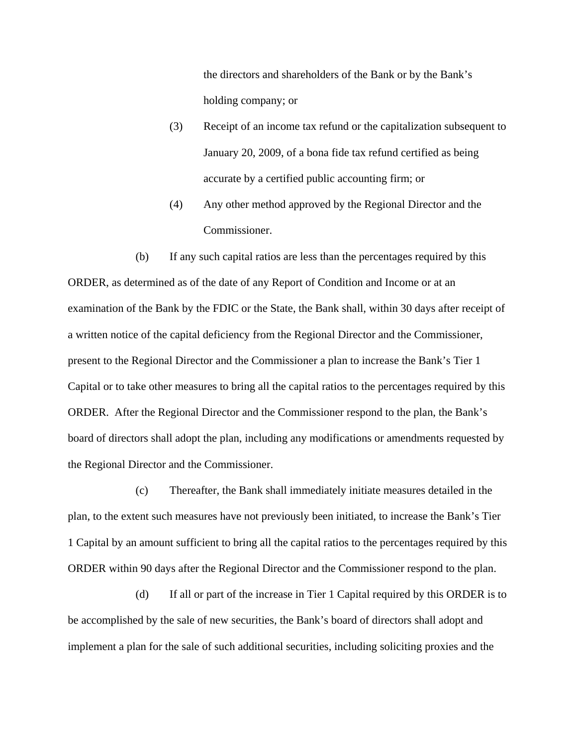the directors and shareholders of the Bank or by the Bank's holding company; or

- (3) Receipt of an income tax refund or the capitalization subsequent to January 20, 2009, of a bona fide tax refund certified as being accurate by a certified public accounting firm; or
- (4) Any other method approved by the Regional Director and the Commissioner.

(b) If any such capital ratios are less than the percentages required by this ORDER, as determined as of the date of any Report of Condition and Income or at an examination of the Bank by the FDIC or the State, the Bank shall, within 30 days after receipt of a written notice of the capital deficiency from the Regional Director and the Commissioner, present to the Regional Director and the Commissioner a plan to increase the Bank's Tier 1 Capital or to take other measures to bring all the capital ratios to the percentages required by this ORDER. After the Regional Director and the Commissioner respond to the plan, the Bank's board of directors shall adopt the plan, including any modifications or amendments requested by the Regional Director and the Commissioner.

(c) Thereafter, the Bank shall immediately initiate measures detailed in the plan, to the extent such measures have not previously been initiated, to increase the Bank's Tier 1 Capital by an amount sufficient to bring all the capital ratios to the percentages required by this ORDER within 90 days after the Regional Director and the Commissioner respond to the plan.

(d) If all or part of the increase in Tier 1 Capital required by this ORDER is to be accomplished by the sale of new securities, the Bank's board of directors shall adopt and implement a plan for the sale of such additional securities, including soliciting proxies and the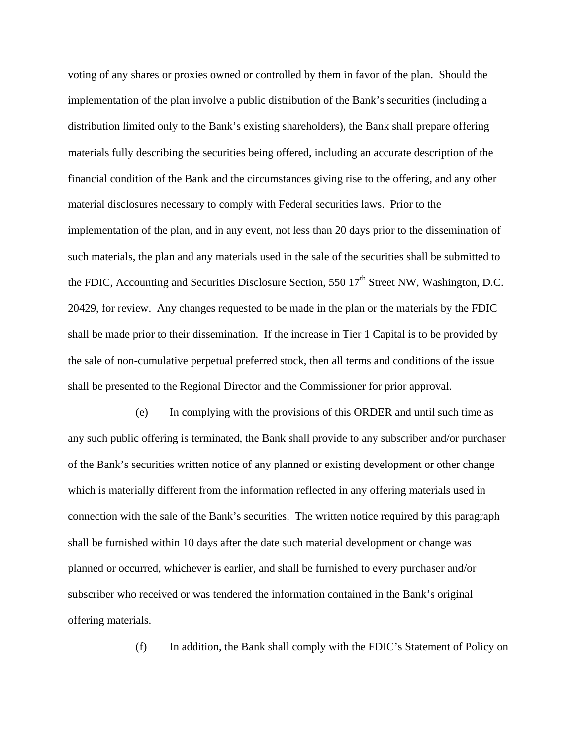voting of any shares or proxies owned or controlled by them in favor of the plan. Should the implementation of the plan involve a public distribution of the Bank's securities (including a distribution limited only to the Bank's existing shareholders), the Bank shall prepare offering materials fully describing the securities being offered, including an accurate description of the financial condition of the Bank and the circumstances giving rise to the offering, and any other material disclosures necessary to comply with Federal securities laws. Prior to the implementation of the plan, and in any event, not less than 20 days prior to the dissemination of such materials, the plan and any materials used in the sale of the securities shall be submitted to the FDIC, Accounting and Securities Disclosure Section, 550  $17<sup>th</sup>$  Street NW, Washington, D.C. 20429, for review. Any changes requested to be made in the plan or the materials by the FDIC shall be made prior to their dissemination. If the increase in Tier 1 Capital is to be provided by the sale of non-cumulative perpetual preferred stock, then all terms and conditions of the issue shall be presented to the Regional Director and the Commissioner for prior approval.

 (e) In complying with the provisions of this ORDER and until such time as any such public offering is terminated, the Bank shall provide to any subscriber and/or purchaser of the Bank's securities written notice of any planned or existing development or other change which is materially different from the information reflected in any offering materials used in connection with the sale of the Bank's securities. The written notice required by this paragraph shall be furnished within 10 days after the date such material development or change was planned or occurred, whichever is earlier, and shall be furnished to every purchaser and/or subscriber who received or was tendered the information contained in the Bank's original offering materials.

(f) In addition, the Bank shall comply with the FDIC's Statement of Policy on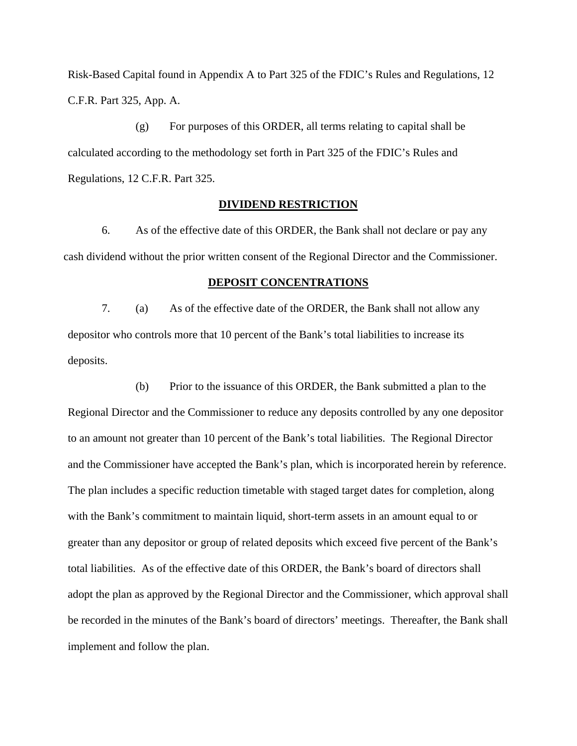Risk-Based Capital found in Appendix A to Part 325 of the FDIC's Rules and Regulations, 12 C.F.R. Part 325, App. A.

 (g) For purposes of this ORDER, all terms relating to capital shall be calculated according to the methodology set forth in Part 325 of the FDIC's Rules and Regulations, 12 C.F.R. Part 325.

## **DIVIDEND RESTRICTION**

6. As of the effective date of this ORDER, the Bank shall not declare or pay any cash dividend without the prior written consent of the Regional Director and the Commissioner.

#### **DEPOSIT CONCENTRATIONS**

7. (a) As of the effective date of the ORDER, the Bank shall not allow any depositor who controls more that 10 percent of the Bank's total liabilities to increase its deposits.

(b) Prior to the issuance of this ORDER, the Bank submitted a plan to the Regional Director and the Commissioner to reduce any deposits controlled by any one depositor to an amount not greater than 10 percent of the Bank's total liabilities. The Regional Director and the Commissioner have accepted the Bank's plan, which is incorporated herein by reference. The plan includes a specific reduction timetable with staged target dates for completion, along with the Bank's commitment to maintain liquid, short-term assets in an amount equal to or greater than any depositor or group of related deposits which exceed five percent of the Bank's total liabilities. As of the effective date of this ORDER, the Bank's board of directors shall adopt the plan as approved by the Regional Director and the Commissioner, which approval shall be recorded in the minutes of the Bank's board of directors' meetings. Thereafter, the Bank shall implement and follow the plan.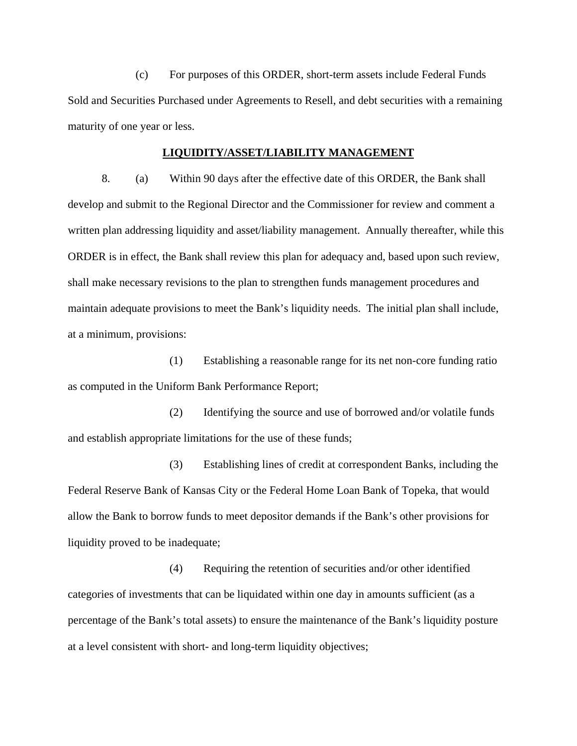(c) For purposes of this ORDER, short-term assets include Federal Funds Sold and Securities Purchased under Agreements to Resell, and debt securities with a remaining maturity of one year or less.

## **LIQUIDITY/ASSET/LIABILITY MANAGEMENT**

8. (a) Within 90 days after the effective date of this ORDER, the Bank shall develop and submit to the Regional Director and the Commissioner for review and comment a written plan addressing liquidity and asset/liability management. Annually thereafter, while this ORDER is in effect, the Bank shall review this plan for adequacy and, based upon such review, shall make necessary revisions to the plan to strengthen funds management procedures and maintain adequate provisions to meet the Bank's liquidity needs. The initial plan shall include, at a minimum, provisions:

 (1) Establishing a reasonable range for its net non-core funding ratio as computed in the Uniform Bank Performance Report;

 (2) Identifying the source and use of borrowed and/or volatile funds and establish appropriate limitations for the use of these funds;

 (3) Establishing lines of credit at correspondent Banks, including the Federal Reserve Bank of Kansas City or the Federal Home Loan Bank of Topeka, that would allow the Bank to borrow funds to meet depositor demands if the Bank's other provisions for liquidity proved to be inadequate;

 (4) Requiring the retention of securities and/or other identified categories of investments that can be liquidated within one day in amounts sufficient (as a percentage of the Bank's total assets) to ensure the maintenance of the Bank's liquidity posture at a level consistent with short- and long-term liquidity objectives;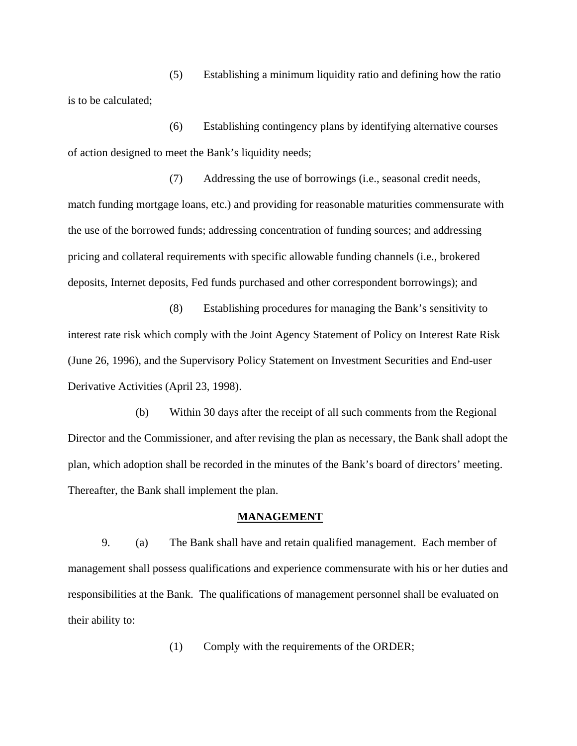(5) Establishing a minimum liquidity ratio and defining how the ratio is to be calculated;

 (6) Establishing contingency plans by identifying alternative courses of action designed to meet the Bank's liquidity needs;

 (7) Addressing the use of borrowings (i.e., seasonal credit needs, match funding mortgage loans, etc.) and providing for reasonable maturities commensurate with the use of the borrowed funds; addressing concentration of funding sources; and addressing pricing and collateral requirements with specific allowable funding channels (i.e., brokered deposits, Internet deposits, Fed funds purchased and other correspondent borrowings); and

 (8) Establishing procedures for managing the Bank's sensitivity to interest rate risk which comply with the Joint Agency Statement of Policy on Interest Rate Risk (June 26, 1996), and the Supervisory Policy Statement on Investment Securities and End-user Derivative Activities (April 23, 1998).

(b) Within 30 days after the receipt of all such comments from the Regional Director and the Commissioner, and after revising the plan as necessary, the Bank shall adopt the plan, which adoption shall be recorded in the minutes of the Bank's board of directors' meeting. Thereafter, the Bank shall implement the plan.

#### **MANAGEMENT**

 9. (a) The Bank shall have and retain qualified management. Each member of management shall possess qualifications and experience commensurate with his or her duties and responsibilities at the Bank. The qualifications of management personnel shall be evaluated on their ability to:

(1) Comply with the requirements of the ORDER;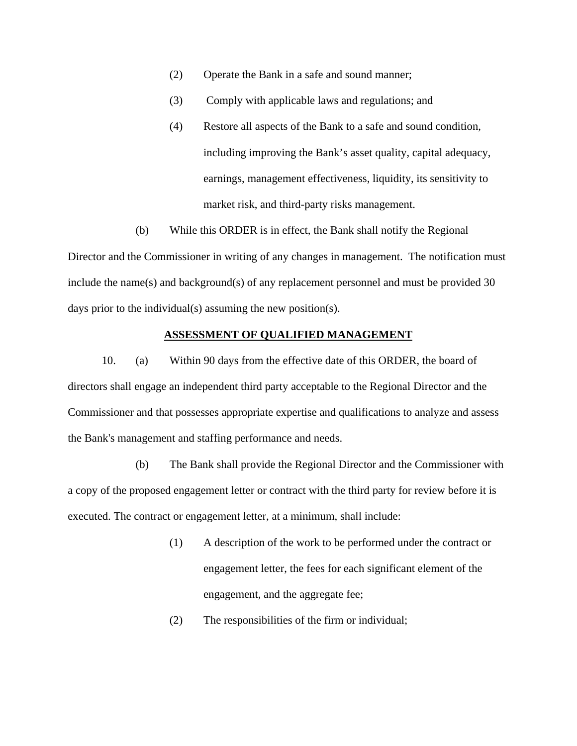- (2) Operate the Bank in a safe and sound manner;
- (3) Comply with applicable laws and regulations; and
- (4) Restore all aspects of the Bank to a safe and sound condition, including improving the Bank's asset quality, capital adequacy, earnings, management effectiveness, liquidity, its sensitivity to market risk, and third-party risks management.
- (b) While this ORDER is in effect, the Bank shall notify the Regional

Director and the Commissioner in writing of any changes in management. The notification must include the name(s) and background(s) of any replacement personnel and must be provided 30 days prior to the individual(s) assuming the new position(s).

## **ASSESSMENT OF QUALIFIED MANAGEMENT**

10. (a) Within 90 days from the effective date of this ORDER, the board of directors shall engage an independent third party acceptable to the Regional Director and the Commissioner and that possesses appropriate expertise and qualifications to analyze and assess the Bank's management and staffing performance and needs.

(b) The Bank shall provide the Regional Director and the Commissioner with a copy of the proposed engagement letter or contract with the third party for review before it is executed. The contract or engagement letter, at a minimum, shall include:

- (1) A description of the work to be performed under the contract or engagement letter, the fees for each significant element of the engagement, and the aggregate fee;
- (2) The responsibilities of the firm or individual;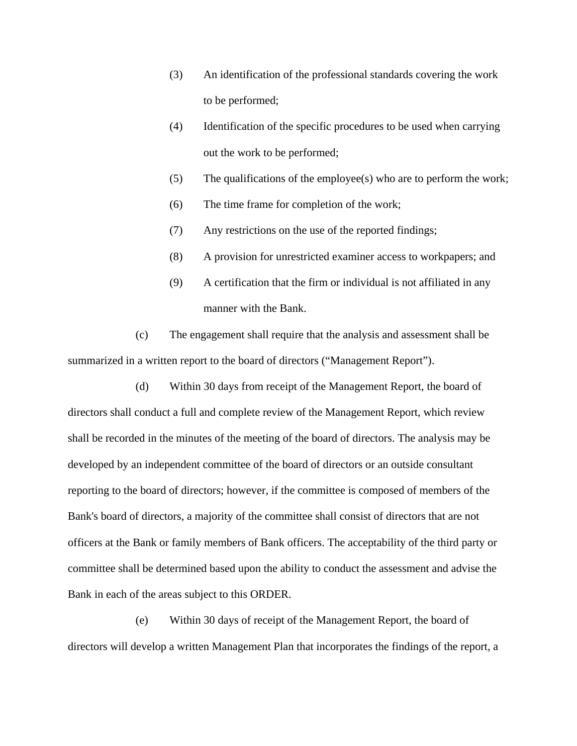- (3) An identification of the professional standards covering the work to be performed;
- (4) Identification of the specific procedures to be used when carrying out the work to be performed;
- (5) The qualifications of the employee(s) who are to perform the work;
- (6) The time frame for completion of the work;
- (7) Any restrictions on the use of the reported findings;
- (8) A provision for unrestricted examiner access to workpapers; and
- (9) A certification that the firm or individual is not affiliated in any manner with the Bank.

(c) The engagement shall require that the analysis and assessment shall be summarized in a written report to the board of directors ("Management Report").

(d) Within 30 days from receipt of the Management Report, the board of directors shall conduct a full and complete review of the Management Report, which review shall be recorded in the minutes of the meeting of the board of directors. The analysis may be developed by an independent committee of the board of directors or an outside consultant reporting to the board of directors; however, if the committee is composed of members of the Bank's board of directors, a majority of the committee shall consist of directors that are not officers at the Bank or family members of Bank officers. The acceptability of the third party or committee shall be determined based upon the ability to conduct the assessment and advise the Bank in each of the areas subject to this ORDER.

(e) Within 30 days of receipt of the Management Report, the board of directors will develop a written Management Plan that incorporates the findings of the report, a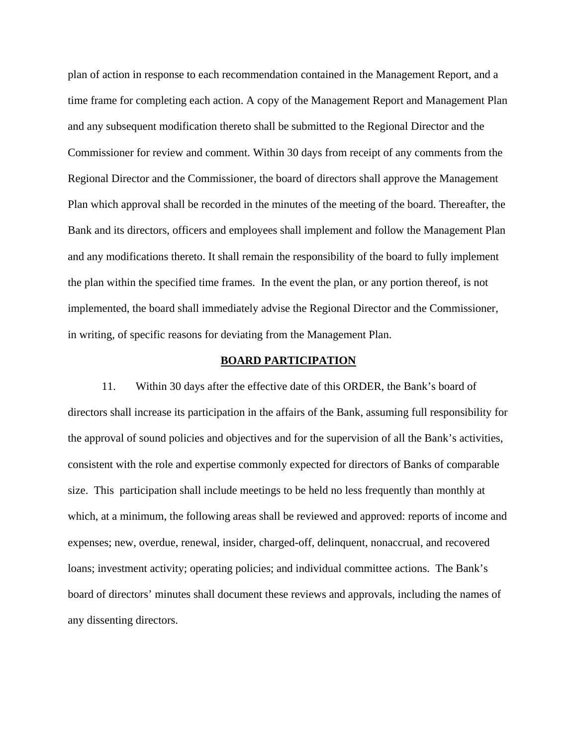plan of action in response to each recommendation contained in the Management Report, and a time frame for completing each action. A copy of the Management Report and Management Plan and any subsequent modification thereto shall be submitted to the Regional Director and the Commissioner for review and comment. Within 30 days from receipt of any comments from the Regional Director and the Commissioner, the board of directors shall approve the Management Plan which approval shall be recorded in the minutes of the meeting of the board. Thereafter, the Bank and its directors, officers and employees shall implement and follow the Management Plan and any modifications thereto. It shall remain the responsibility of the board to fully implement the plan within the specified time frames. In the event the plan, or any portion thereof, is not implemented, the board shall immediately advise the Regional Director and the Commissioner, in writing, of specific reasons for deviating from the Management Plan.

#### **BOARD PARTICIPATION**

 11. Within 30 days after the effective date of this ORDER, the Bank's board of directors shall increase its participation in the affairs of the Bank, assuming full responsibility for the approval of sound policies and objectives and for the supervision of all the Bank's activities, consistent with the role and expertise commonly expected for directors of Banks of comparable size. This participation shall include meetings to be held no less frequently than monthly at which, at a minimum, the following areas shall be reviewed and approved: reports of income and expenses; new, overdue, renewal, insider, charged-off, delinquent, nonaccrual, and recovered loans; investment activity; operating policies; and individual committee actions. The Bank's board of directors' minutes shall document these reviews and approvals, including the names of any dissenting directors.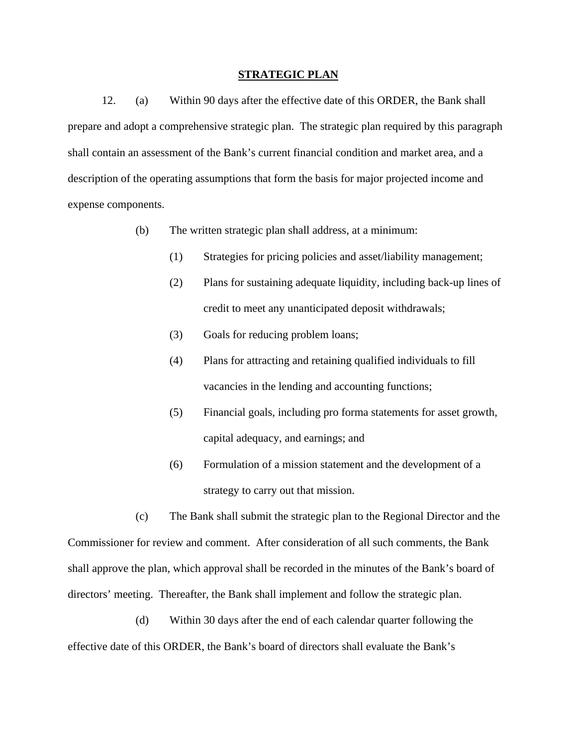#### **STRATEGIC PLAN**

12. (a) Within 90 days after the effective date of this ORDER, the Bank shall prepare and adopt a comprehensive strategic plan. The strategic plan required by this paragraph shall contain an assessment of the Bank's current financial condition and market area, and a description of the operating assumptions that form the basis for major projected income and expense components.

- (b) The written strategic plan shall address, at a minimum:
	- (1) Strategies for pricing policies and asset/liability management;
	- (2) Plans for sustaining adequate liquidity, including back-up lines of credit to meet any unanticipated deposit withdrawals;
	- (3) Goals for reducing problem loans;
	- (4) Plans for attracting and retaining qualified individuals to fill vacancies in the lending and accounting functions;
	- (5) Financial goals, including pro forma statements for asset growth, capital adequacy, and earnings; and
	- (6) Formulation of a mission statement and the development of a strategy to carry out that mission.

(c) The Bank shall submit the strategic plan to the Regional Director and the Commissioner for review and comment. After consideration of all such comments, the Bank shall approve the plan, which approval shall be recorded in the minutes of the Bank's board of directors' meeting. Thereafter, the Bank shall implement and follow the strategic plan.

(d) Within 30 days after the end of each calendar quarter following the effective date of this ORDER, the Bank's board of directors shall evaluate the Bank's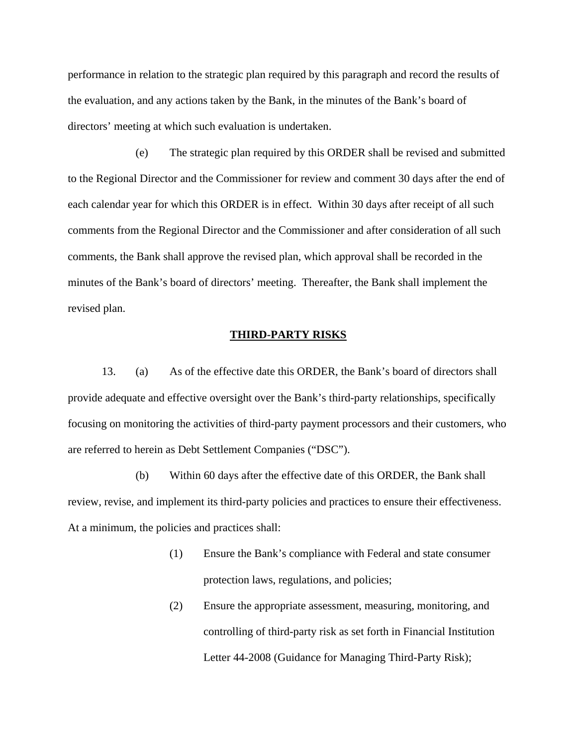performance in relation to the strategic plan required by this paragraph and record the results of the evaluation, and any actions taken by the Bank, in the minutes of the Bank's board of directors' meeting at which such evaluation is undertaken.

(e) The strategic plan required by this ORDER shall be revised and submitted to the Regional Director and the Commissioner for review and comment 30 days after the end of each calendar year for which this ORDER is in effect. Within 30 days after receipt of all such comments from the Regional Director and the Commissioner and after consideration of all such comments, the Bank shall approve the revised plan, which approval shall be recorded in the minutes of the Bank's board of directors' meeting. Thereafter, the Bank shall implement the revised plan.

#### **THIRD-PARTY RISKS**

13. (a) As of the effective date this ORDER, the Bank's board of directors shall provide adequate and effective oversight over the Bank's third-party relationships, specifically focusing on monitoring the activities of third-party payment processors and their customers, who are referred to herein as Debt Settlement Companies ("DSC").

(b) Within 60 days after the effective date of this ORDER, the Bank shall review, revise, and implement its third-party policies and practices to ensure their effectiveness. At a minimum, the policies and practices shall:

- (1) Ensure the Bank's compliance with Federal and state consumer protection laws, regulations, and policies;
- (2) Ensure the appropriate assessment, measuring, monitoring, and controlling of third-party risk as set forth in Financial Institution Letter 44-2008 (Guidance for Managing Third-Party Risk);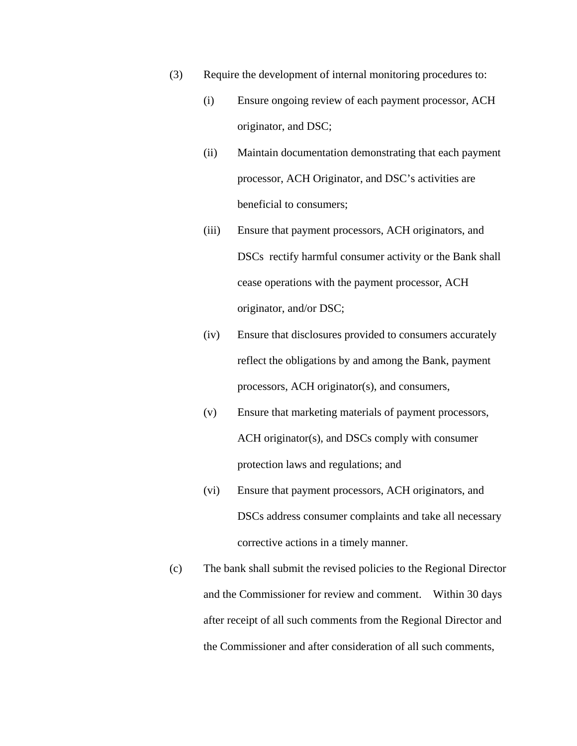- (3) Require the development of internal monitoring procedures to:
	- (i) Ensure ongoing review of each payment processor, ACH originator, and DSC;
	- (ii) Maintain documentation demonstrating that each payment processor, ACH Originator, and DSC's activities are beneficial to consumers;
	- (iii) Ensure that payment processors, ACH originators, and DSCs rectify harmful consumer activity or the Bank shall cease operations with the payment processor, ACH originator, and/or DSC;
	- (iv) Ensure that disclosures provided to consumers accurately reflect the obligations by and among the Bank, payment processors, ACH originator(s), and consumers,
	- (v) Ensure that marketing materials of payment processors, ACH originator(s), and DSCs comply with consumer protection laws and regulations; and
	- (vi) Ensure that payment processors, ACH originators, and DSCs address consumer complaints and take all necessary corrective actions in a timely manner.
- (c) The bank shall submit the revised policies to the Regional Director and the Commissioner for review and comment. Within 30 days after receipt of all such comments from the Regional Director and the Commissioner and after consideration of all such comments,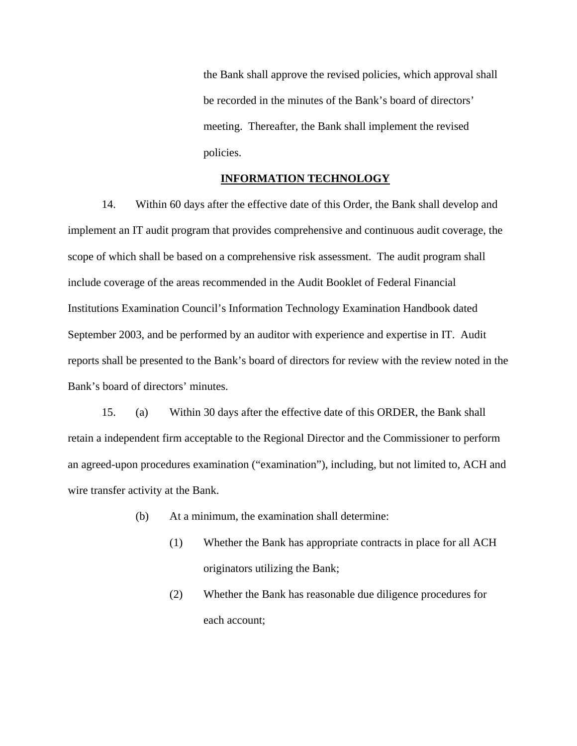the Bank shall approve the revised policies, which approval shall be recorded in the minutes of the Bank's board of directors' meeting. Thereafter, the Bank shall implement the revised policies.

### **INFORMATION TECHNOLOGY**

14. Within 60 days after the effective date of this Order, the Bank shall develop and implement an IT audit program that provides comprehensive and continuous audit coverage, the scope of which shall be based on a comprehensive risk assessment. The audit program shall include coverage of the areas recommended in the Audit Booklet of Federal Financial Institutions Examination Council's Information Technology Examination Handbook dated September 2003, and be performed by an auditor with experience and expertise in IT. Audit reports shall be presented to the Bank's board of directors for review with the review noted in the Bank's board of directors' minutes.

15. (a) Within 30 days after the effective date of this ORDER, the Bank shall retain a independent firm acceptable to the Regional Director and the Commissioner to perform an agreed-upon procedures examination ("examination"), including, but not limited to, ACH and wire transfer activity at the Bank.

- (b) At a minimum, the examination shall determine:
	- (1) Whether the Bank has appropriate contracts in place for all ACH originators utilizing the Bank;
	- (2) Whether the Bank has reasonable due diligence procedures for each account;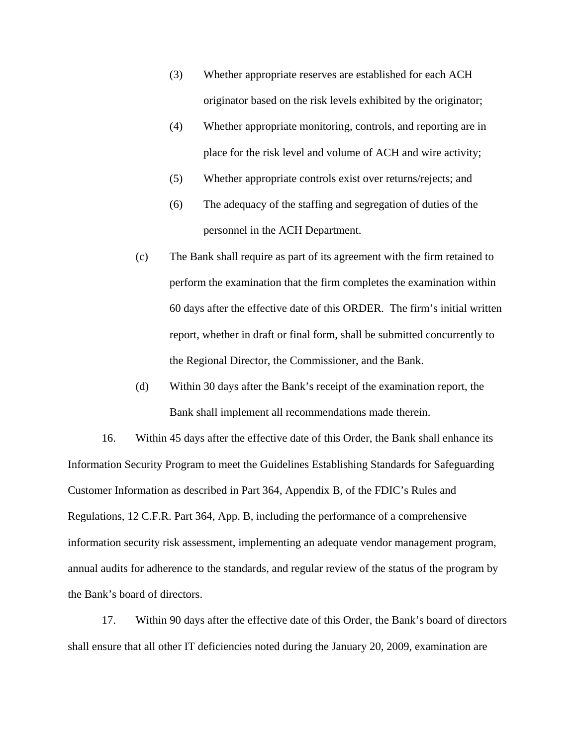- (3) Whether appropriate reserves are established for each ACH originator based on the risk levels exhibited by the originator;
- (4) Whether appropriate monitoring, controls, and reporting are in place for the risk level and volume of ACH and wire activity;
- (5) Whether appropriate controls exist over returns/rejects; and
- (6) The adequacy of the staffing and segregation of duties of the personnel in the ACH Department.
- (c) The Bank shall require as part of its agreement with the firm retained to perform the examination that the firm completes the examination within 60 days after the effective date of this ORDER. The firm's initial written report, whether in draft or final form, shall be submitted concurrently to the Regional Director, the Commissioner, and the Bank.
- (d) Within 30 days after the Bank's receipt of the examination report, the Bank shall implement all recommendations made therein.

16. Within 45 days after the effective date of this Order, the Bank shall enhance its Information Security Program to meet the Guidelines Establishing Standards for Safeguarding Customer Information as described in Part 364, Appendix B, of the FDIC's Rules and Regulations, 12 C.F.R. Part 364, App. B, including the performance of a comprehensive information security risk assessment, implementing an adequate vendor management program, annual audits for adherence to the standards, and regular review of the status of the program by the Bank's board of directors.

17. Within 90 days after the effective date of this Order, the Bank's board of directors shall ensure that all other IT deficiencies noted during the January 20, 2009, examination are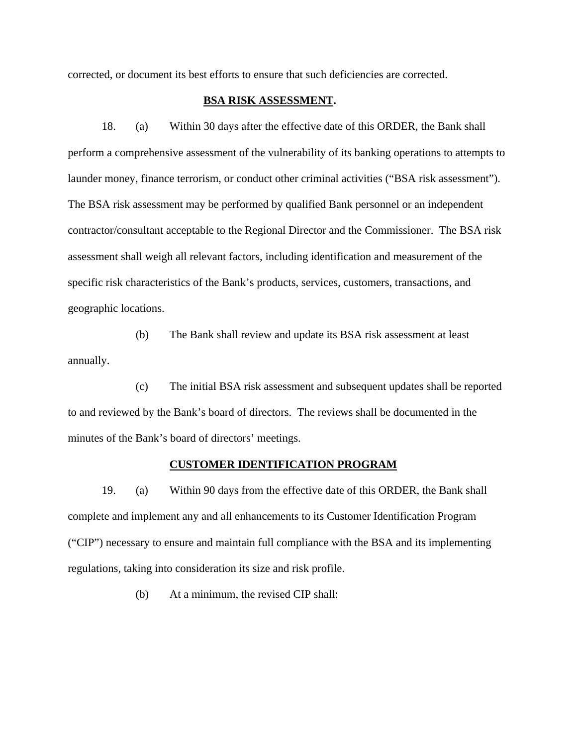corrected, or document its best efforts to ensure that such deficiencies are corrected.

# **BSA RISK ASSESSMENT.**

18. (a) Within 30 days after the effective date of this ORDER, the Bank shall perform a comprehensive assessment of the vulnerability of its banking operations to attempts to launder money, finance terrorism, or conduct other criminal activities ("BSA risk assessment"). The BSA risk assessment may be performed by qualified Bank personnel or an independent contractor/consultant acceptable to the Regional Director and the Commissioner. The BSA risk assessment shall weigh all relevant factors, including identification and measurement of the specific risk characteristics of the Bank's products, services, customers, transactions, and geographic locations.

 (b) The Bank shall review and update its BSA risk assessment at least annually.

 (c) The initial BSA risk assessment and subsequent updates shall be reported to and reviewed by the Bank's board of directors. The reviews shall be documented in the minutes of the Bank's board of directors' meetings.

#### **CUSTOMER IDENTIFICATION PROGRAM**

 19. (a) Within 90 days from the effective date of this ORDER, the Bank shall complete and implement any and all enhancements to its Customer Identification Program ("CIP") necessary to ensure and maintain full compliance with the BSA and its implementing regulations, taking into consideration its size and risk profile.

(b) At a minimum, the revised CIP shall: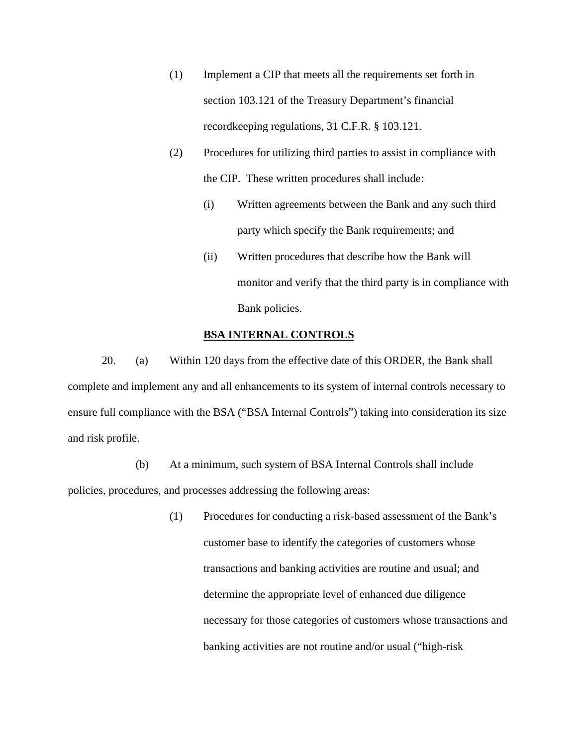- (1) Implement a CIP that meets all the requirements set forth in section 103.121 of the Treasury Department's financial recordkeeping regulations, 31 C.F.R. § 103.121.
- (2) Procedures for utilizing third parties to assist in compliance with the CIP. These written procedures shall include:
	- (i) Written agreements between the Bank and any such third party which specify the Bank requirements; and
	- (ii) Written procedures that describe how the Bank will monitor and verify that the third party is in compliance with Bank policies.

## **BSA INTERNAL CONTROLS**

20. (a) Within 120 days from the effective date of this ORDER, the Bank shall complete and implement any and all enhancements to its system of internal controls necessary to ensure full compliance with the BSA ("BSA Internal Controls") taking into consideration its size and risk profile.

 (b) At a minimum, such system of BSA Internal Controls shall include policies, procedures, and processes addressing the following areas:

> (1) Procedures for conducting a risk-based assessment of the Bank's customer base to identify the categories of customers whose transactions and banking activities are routine and usual; and determine the appropriate level of enhanced due diligence necessary for those categories of customers whose transactions and banking activities are not routine and/or usual ("high-risk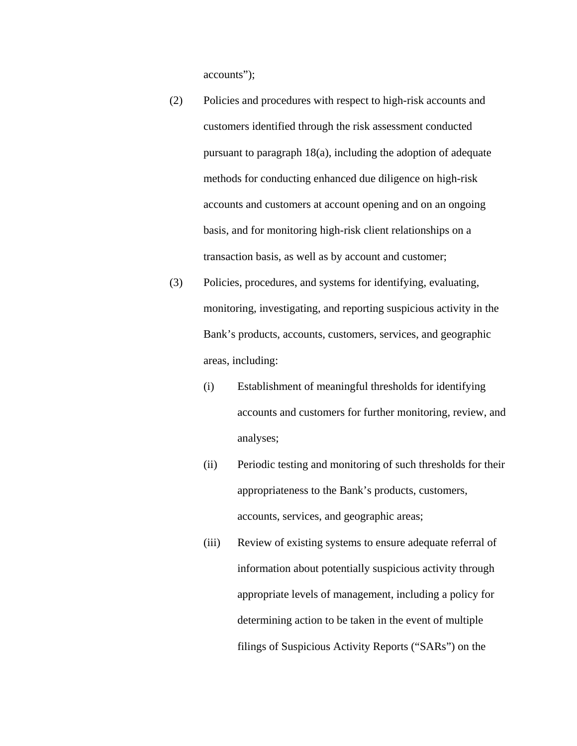accounts");

- (2) Policies and procedures with respect to high-risk accounts and customers identified through the risk assessment conducted pursuant to paragraph 18(a), including the adoption of adequate methods for conducting enhanced due diligence on high-risk accounts and customers at account opening and on an ongoing basis, and for monitoring high-risk client relationships on a transaction basis, as well as by account and customer;
- (3) Policies, procedures, and systems for identifying, evaluating, monitoring, investigating, and reporting suspicious activity in the Bank's products, accounts, customers, services, and geographic areas, including:
	- (i) Establishment of meaningful thresholds for identifying accounts and customers for further monitoring, review, and analyses;
	- (ii) Periodic testing and monitoring of such thresholds for their appropriateness to the Bank's products, customers, accounts, services, and geographic areas;
	- (iii) Review of existing systems to ensure adequate referral of information about potentially suspicious activity through appropriate levels of management, including a policy for determining action to be taken in the event of multiple filings of Suspicious Activity Reports ("SARs") on the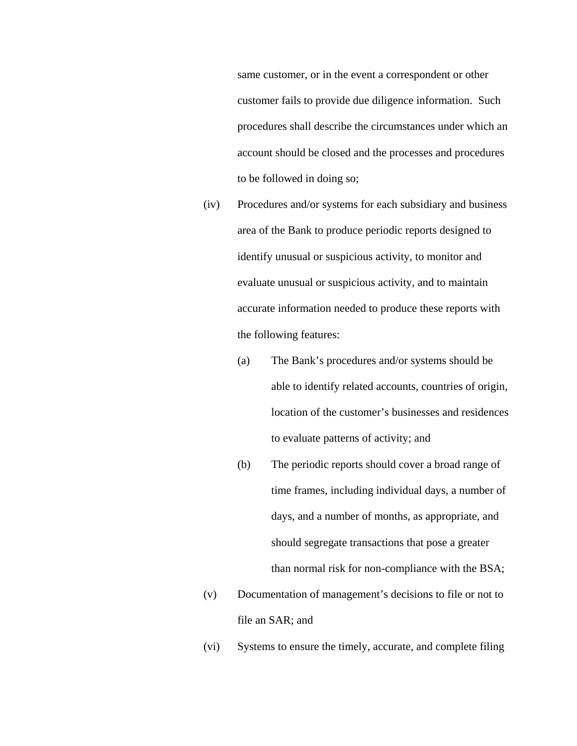same customer, or in the event a correspondent or other customer fails to provide due diligence information. Such procedures shall describe the circumstances under which an account should be closed and the processes and procedures to be followed in doing so;

- (iv) Procedures and/or systems for each subsidiary and business area of the Bank to produce periodic reports designed to identify unusual or suspicious activity, to monitor and evaluate unusual or suspicious activity, and to maintain accurate information needed to produce these reports with the following features:
	- (a) The Bank's procedures and/or systems should be able to identify related accounts, countries of origin, location of the customer's businesses and residences to evaluate patterns of activity; and
	- (b) The periodic reports should cover a broad range of time frames, including individual days, a number of days, and a number of months, as appropriate, and should segregate transactions that pose a greater than normal risk for non-compliance with the BSA;
- (v) Documentation of management's decisions to file or not to file an SAR; and
- (vi) Systems to ensure the timely, accurate, and complete filing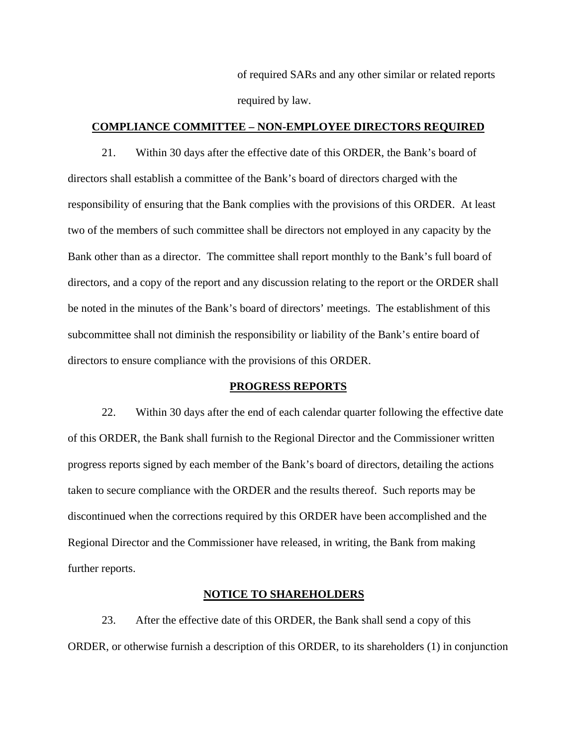of required SARs and any other similar or related reports required by law.

## **COMPLIANCE COMMITTEE – NON-EMPLOYEE DIRECTORS REQUIRED**

 21. Within 30 days after the effective date of this ORDER, the Bank's board of directors shall establish a committee of the Bank's board of directors charged with the responsibility of ensuring that the Bank complies with the provisions of this ORDER. At least two of the members of such committee shall be directors not employed in any capacity by the Bank other than as a director. The committee shall report monthly to the Bank's full board of directors, and a copy of the report and any discussion relating to the report or the ORDER shall be noted in the minutes of the Bank's board of directors' meetings. The establishment of this subcommittee shall not diminish the responsibility or liability of the Bank's entire board of directors to ensure compliance with the provisions of this ORDER.

#### **PROGRESS REPORTS**

22. Within 30 days after the end of each calendar quarter following the effective date of this ORDER, the Bank shall furnish to the Regional Director and the Commissioner written progress reports signed by each member of the Bank's board of directors, detailing the actions taken to secure compliance with the ORDER and the results thereof. Such reports may be discontinued when the corrections required by this ORDER have been accomplished and the Regional Director and the Commissioner have released, in writing, the Bank from making further reports.

## **NOTICE TO SHAREHOLDERS**

23. After the effective date of this ORDER, the Bank shall send a copy of this ORDER, or otherwise furnish a description of this ORDER, to its shareholders (1) in conjunction